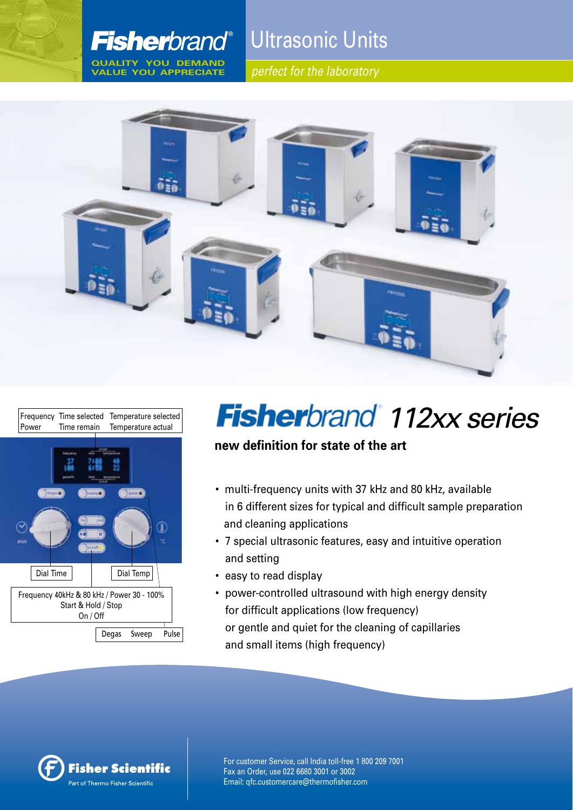## **Fisher**brand®

**QUALITY YOU DEMAND VALUE YOU APPRECIATE**

Ultrasonic Units

*perfect for the laboratory*





# Frequency Time selected Temperature selected<br>Power Time remain Temperature actual **FisherNet and the selected**

### **new definition for state of the art**

- multi-frequency units with 37 kHz and 80 kHz, available in 6 different sizes for typical and difficult sample preparation and cleaning applications
- 7 special ultrasonic features, easy and intuitive operation and setting
- easy to read display
- power-controlled ultrasound with high energy density for difficult applications (low frequency) or gentle and quiet for the cleaning of capillaries and small items (high frequency)



For customer Service, call India toll-free 1 800 209 7001 Fax an Order, use 022 6680 3001 or 3002 Email: qfc.customercare@thermofisher.com